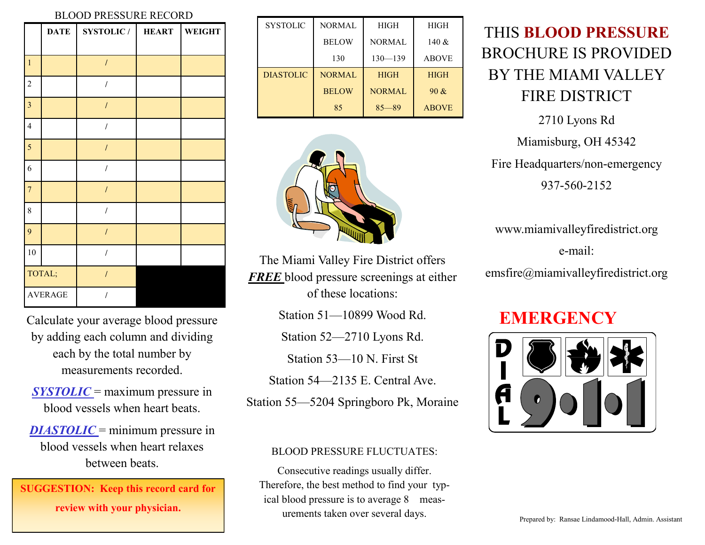#### BLOOD PRESSURE RECORD

|                         | <b>DATE</b> | <b>SYSTOLIC/</b> | <b>HEART</b> | <b>WEIGHT</b> |
|-------------------------|-------------|------------------|--------------|---------------|
|                         |             |                  |              |               |
| $\mathbf{1}$            |             | $\prime$         |              |               |
| $\sqrt{2}$              |             | $\overline{I}$   |              |               |
| $\overline{\mathbf{3}}$ |             | $\cal I$         |              |               |
| $\overline{4}$          |             | $\overline{I}$   |              |               |
| 5                       |             | $\cal I$         |              |               |
| $\sqrt{6}$              |             | $\prime$         |              |               |
| $\overline{7}$          |             | $\overline{I}$   |              |               |
| 8                       |             | $\prime$         |              |               |
| 9                       |             | $\cal I$         |              |               |
| 10                      |             |                  |              |               |
| TOTAL;                  |             | $\overline{I}$   |              |               |
| <b>AVERAGE</b>          |             |                  |              |               |

Calculate your average blood pressure by adding each column and dividing each by the total number by measurements recorded.

*SYSTOLIC* = maximum pressure in blood vessels when heart beats.

*DIASTOLIC* = minimum pressure in blood vessels when heart relaxes between beats.

**SUGGESTION: Keep this record card for review with your physician.**

| <b>SYSTOLIC</b>  | <b>NORMAL</b> | <b>HIGH</b>   | HIGH         |
|------------------|---------------|---------------|--------------|
|                  | <b>BELOW</b>  | <b>NORMAL</b> | 140 $&$      |
|                  | 130           | $130 - 139$   | <b>ABOVE</b> |
| <b>DIASTOLIC</b> | <b>NORMAL</b> | <b>HIGH</b>   | <b>HIGH</b>  |
|                  | <b>BELOW</b>  | <b>NORMAL</b> | 90 &         |
|                  | 85            | $85 - 89$     | <b>ABOVE</b> |



The Miami Valley Fire District offers *FREE* blood pressure screenings at either of these locations:

Station 51—10899 Wood Rd.

Station 52—2710 Lyons Rd.

Station 53—10 N. First St

Station 54—2135 E. Central Ave.

Station 55—5204 Springboro Pk, Moraine

### BLOOD PRESSURE FLUCTUATES:

Consecutive readings usually differ. Therefore, the best method to find your typical blood pressure is to average 8 measurements taken over several days.<br>
Prepared by: Ransae Lindamood-Hall, Admin. Assistant

# THIS **BLOOD PRESSURE**  BROCHURE IS PROVIDED BY THE MIAMI VALLEY FIRE DISTRICT

2710 Lyons Rd Miamisburg, OH 45342 Fire Headquarters/non-emergency 937-560-2152

www.miamivalleyfiredistrict.org e-mail:

emsfire@miamivalleyfiredistrict.org

## **EMERGENCY**